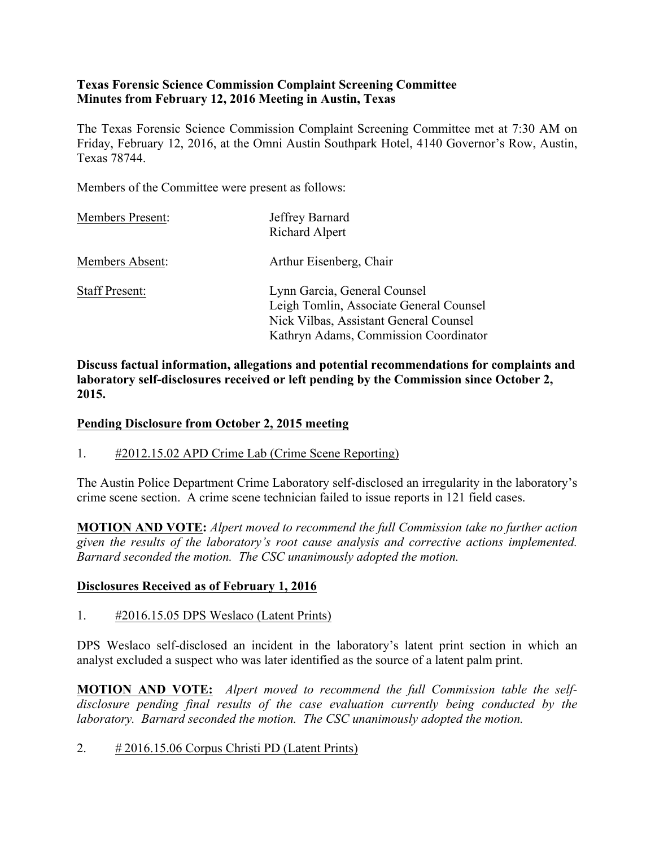### **Texas Forensic Science Commission Complaint Screening Committee Minutes from February 12, 2016 Meeting in Austin, Texas**

The Texas Forensic Science Commission Complaint Screening Committee met at 7:30 AM on Friday, February 12, 2016, at the Omni Austin Southpark Hotel, 4140 Governor's Row, Austin, Texas 78744.

Members of the Committee were present as follows:

| <b>Members Present:</b> | Jeffrey Barnard<br><b>Richard Alpert</b>                                                                                                                   |
|-------------------------|------------------------------------------------------------------------------------------------------------------------------------------------------------|
| Members Absent:         | Arthur Eisenberg, Chair                                                                                                                                    |
| <b>Staff Present:</b>   | Lynn Garcia, General Counsel<br>Leigh Tomlin, Associate General Counsel<br>Nick Vilbas, Assistant General Counsel<br>Kathryn Adams, Commission Coordinator |

**Discuss factual information, allegations and potential recommendations for complaints and laboratory self-disclosures received or left pending by the Commission since October 2, 2015.**

### **Pending Disclosure from October 2, 2015 meeting**

1. #2012.15.02 APD Crime Lab (Crime Scene Reporting)

The Austin Police Department Crime Laboratory self-disclosed an irregularity in the laboratory's crime scene section. A crime scene technician failed to issue reports in 121 field cases.

**MOTION AND VOTE:** *Alpert moved to recommend the full Commission take no further action given the results of the laboratory's root cause analysis and corrective actions implemented. Barnard seconded the motion. The CSC unanimously adopted the motion.*

#### **Disclosures Received as of February 1, 2016**

#### 1. #2016.15.05 DPS Weslaco (Latent Prints)

DPS Weslaco self-disclosed an incident in the laboratory's latent print section in which an analyst excluded a suspect who was later identified as the source of a latent palm print.

**MOTION AND VOTE:** *Alpert moved to recommend the full Commission table the selfdisclosure pending final results of the case evaluation currently being conducted by the laboratory. Barnard seconded the motion. The CSC unanimously adopted the motion.*

2. # 2016.15.06 Corpus Christi PD (Latent Prints)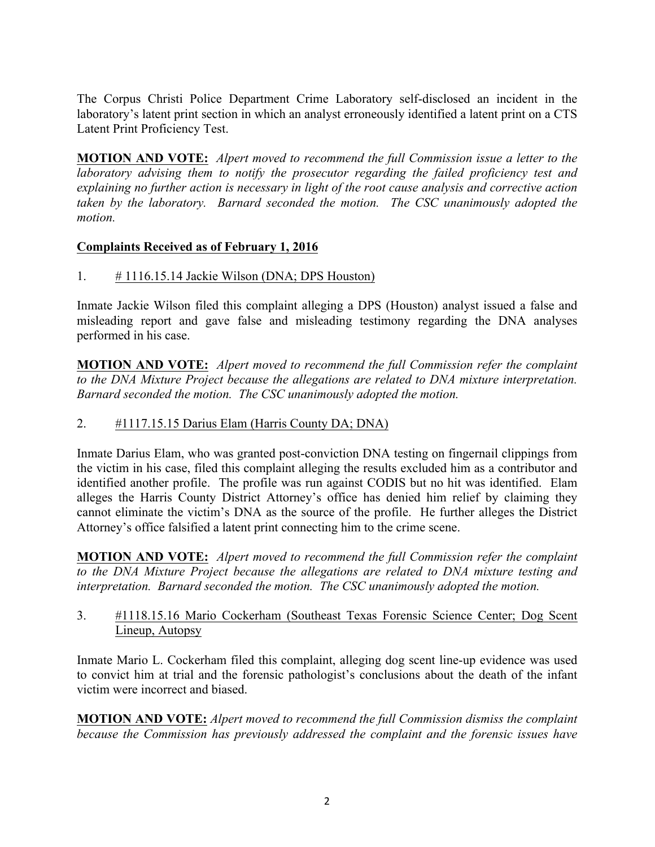The Corpus Christi Police Department Crime Laboratory self-disclosed an incident in the laboratory's latent print section in which an analyst erroneously identified a latent print on a CTS Latent Print Proficiency Test.

**MOTION AND VOTE:** *Alpert moved to recommend the full Commission issue a letter to the laboratory advising them to notify the prosecutor regarding the failed proficiency test and explaining no further action is necessary in light of the root cause analysis and corrective action taken by the laboratory. Barnard seconded the motion. The CSC unanimously adopted the motion.*

### **Complaints Received as of February 1, 2016**

1.  $\#$  1116.15.14 Jackie Wilson (DNA; DPS Houston)

Inmate Jackie Wilson filed this complaint alleging a DPS (Houston) analyst issued a false and misleading report and gave false and misleading testimony regarding the DNA analyses performed in his case.

**MOTION AND VOTE:** *Alpert moved to recommend the full Commission refer the complaint to the DNA Mixture Project because the allegations are related to DNA mixture interpretation. Barnard seconded the motion. The CSC unanimously adopted the motion.*

### 2. #1117.15.15 Darius Elam (Harris County DA; DNA)

Inmate Darius Elam, who was granted post-conviction DNA testing on fingernail clippings from the victim in his case, filed this complaint alleging the results excluded him as a contributor and identified another profile. The profile was run against CODIS but no hit was identified. Elam alleges the Harris County District Attorney's office has denied him relief by claiming they cannot eliminate the victim's DNA as the source of the profile. He further alleges the District Attorney's office falsified a latent print connecting him to the crime scene.

**MOTION AND VOTE:** *Alpert moved to recommend the full Commission refer the complaint to the DNA Mixture Project because the allegations are related to DNA mixture testing and interpretation. Barnard seconded the motion. The CSC unanimously adopted the motion.*

3. #1118.15.16 Mario Cockerham (Southeast Texas Forensic Science Center; Dog Scent Lineup, Autopsy

Inmate Mario L. Cockerham filed this complaint, alleging dog scent line-up evidence was used to convict him at trial and the forensic pathologist's conclusions about the death of the infant victim were incorrect and biased.

**MOTION AND VOTE:** *Alpert moved to recommend the full Commission dismiss the complaint because the Commission has previously addressed the complaint and the forensic issues have*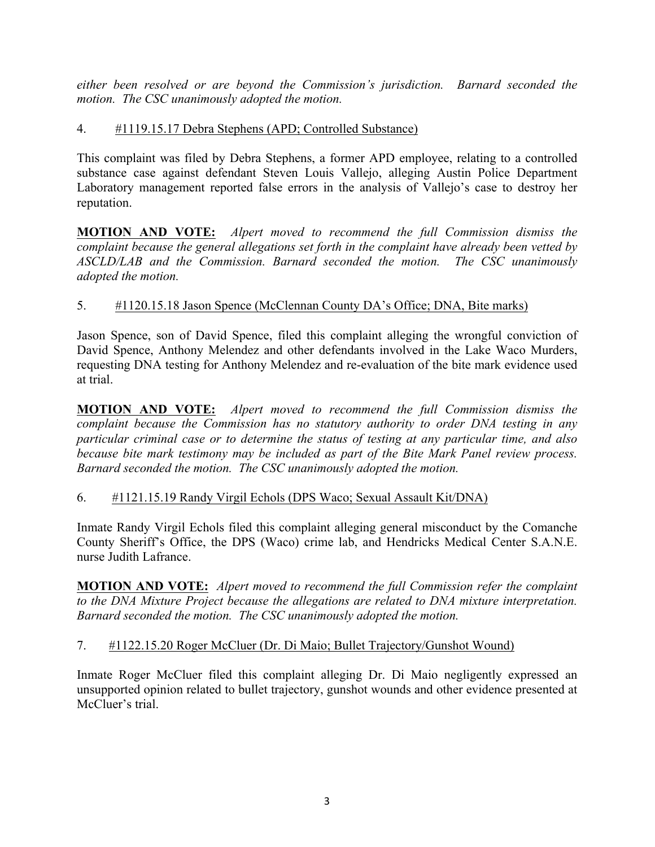*either been resolved or are beyond the Commission's jurisdiction. Barnard seconded the motion. The CSC unanimously adopted the motion.*

# 4. #1119.15.17 Debra Stephens (APD; Controlled Substance)

This complaint was filed by Debra Stephens, a former APD employee, relating to a controlled substance case against defendant Steven Louis Vallejo, alleging Austin Police Department Laboratory management reported false errors in the analysis of Vallejo's case to destroy her reputation.

**MOTION AND VOTE:** *Alpert moved to recommend the full Commission dismiss the complaint because the general allegations set forth in the complaint have already been vetted by ASCLD/LAB and the Commission. Barnard seconded the motion. The CSC unanimously adopted the motion.* 

# 5. #1120.15.18 Jason Spence (McClennan County DA's Office; DNA, Bite marks)

Jason Spence, son of David Spence, filed this complaint alleging the wrongful conviction of David Spence, Anthony Melendez and other defendants involved in the Lake Waco Murders, requesting DNA testing for Anthony Melendez and re-evaluation of the bite mark evidence used at trial.

**MOTION AND VOTE:** *Alpert moved to recommend the full Commission dismiss the complaint because the Commission has no statutory authority to order DNA testing in any particular criminal case or to determine the status of testing at any particular time, and also because bite mark testimony may be included as part of the Bite Mark Panel review process. Barnard seconded the motion. The CSC unanimously adopted the motion.* 

# 6. #1121.15.19 Randy Virgil Echols (DPS Waco; Sexual Assault Kit/DNA)

Inmate Randy Virgil Echols filed this complaint alleging general misconduct by the Comanche County Sheriff's Office, the DPS (Waco) crime lab, and Hendricks Medical Center S.A.N.E. nurse Judith Lafrance.

**MOTION AND VOTE:** *Alpert moved to recommend the full Commission refer the complaint to the DNA Mixture Project because the allegations are related to DNA mixture interpretation. Barnard seconded the motion. The CSC unanimously adopted the motion.*

### 7. #1122.15.20 Roger McCluer (Dr. Di Maio; Bullet Trajectory/Gunshot Wound)

Inmate Roger McCluer filed this complaint alleging Dr. Di Maio negligently expressed an unsupported opinion related to bullet trajectory, gunshot wounds and other evidence presented at McCluer's trial.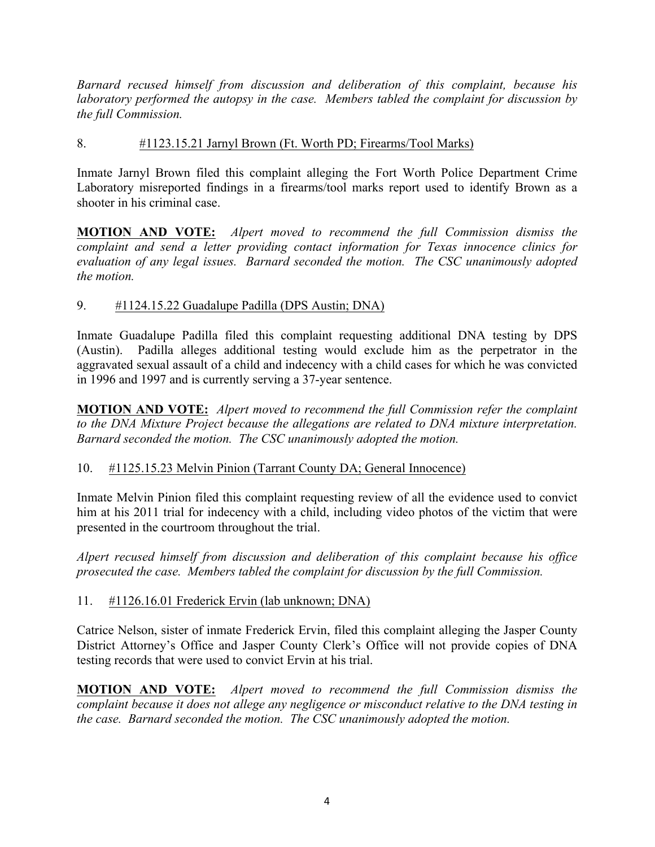*Barnard recused himself from discussion and deliberation of this complaint, because his laboratory performed the autopsy in the case. Members tabled the complaint for discussion by the full Commission.*

### 8. #1123.15.21 Jarnyl Brown (Ft. Worth PD; Firearms/Tool Marks)

Inmate Jarnyl Brown filed this complaint alleging the Fort Worth Police Department Crime Laboratory misreported findings in a firearms/tool marks report used to identify Brown as a shooter in his criminal case.

**MOTION AND VOTE:** *Alpert moved to recommend the full Commission dismiss the complaint and send a letter providing contact information for Texas innocence clinics for evaluation of any legal issues. Barnard seconded the motion. The CSC unanimously adopted the motion.* 

### 9. #1124.15.22 Guadalupe Padilla (DPS Austin; DNA)

Inmate Guadalupe Padilla filed this complaint requesting additional DNA testing by DPS (Austin). Padilla alleges additional testing would exclude him as the perpetrator in the aggravated sexual assault of a child and indecency with a child cases for which he was convicted in 1996 and 1997 and is currently serving a 37-year sentence.

**MOTION AND VOTE:** *Alpert moved to recommend the full Commission refer the complaint to the DNA Mixture Project because the allegations are related to DNA mixture interpretation. Barnard seconded the motion. The CSC unanimously adopted the motion.*

### 10. #1125.15.23 Melvin Pinion (Tarrant County DA; General Innocence)

Inmate Melvin Pinion filed this complaint requesting review of all the evidence used to convict him at his 2011 trial for indecency with a child, including video photos of the victim that were presented in the courtroom throughout the trial.

*Alpert recused himself from discussion and deliberation of this complaint because his office prosecuted the case. Members tabled the complaint for discussion by the full Commission.*

### 11. #1126.16.01 Frederick Ervin (lab unknown; DNA)

Catrice Nelson, sister of inmate Frederick Ervin, filed this complaint alleging the Jasper County District Attorney's Office and Jasper County Clerk's Office will not provide copies of DNA testing records that were used to convict Ervin at his trial.

**MOTION AND VOTE:** *Alpert moved to recommend the full Commission dismiss the complaint because it does not allege any negligence or misconduct relative to the DNA testing in the case. Barnard seconded the motion. The CSC unanimously adopted the motion.*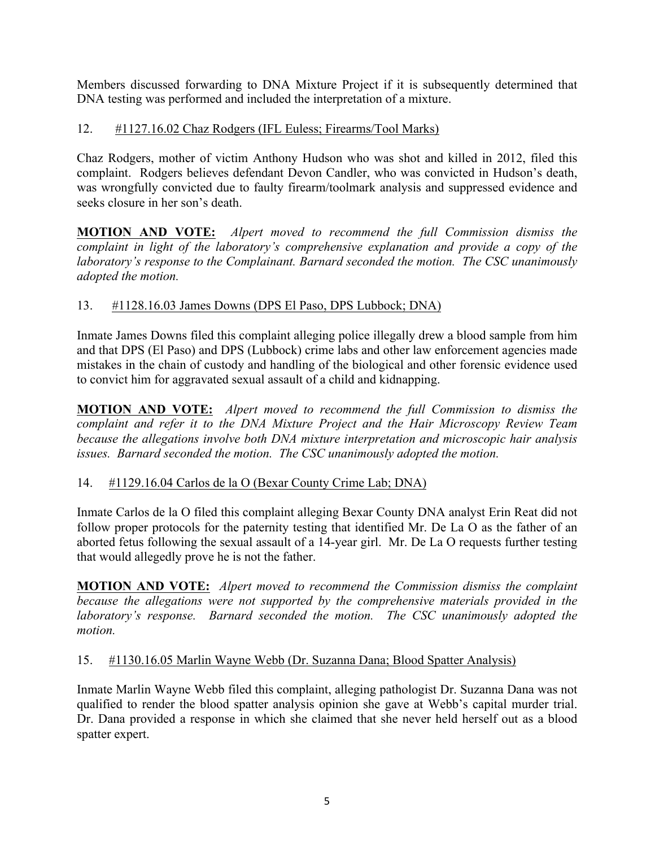Members discussed forwarding to DNA Mixture Project if it is subsequently determined that DNA testing was performed and included the interpretation of a mixture.

# 12. #1127.16.02 Chaz Rodgers (IFL Euless; Firearms/Tool Marks)

Chaz Rodgers, mother of victim Anthony Hudson who was shot and killed in 2012, filed this complaint. Rodgers believes defendant Devon Candler, who was convicted in Hudson's death, was wrongfully convicted due to faulty firearm/toolmark analysis and suppressed evidence and seeks closure in her son's death.

**MOTION AND VOTE:** *Alpert moved to recommend the full Commission dismiss the complaint in light of the laboratory's comprehensive explanation and provide a copy of the laboratory's response to the Complainant. Barnard seconded the motion. The CSC unanimously adopted the motion.* 

# 13. #1128.16.03 James Downs (DPS El Paso, DPS Lubbock; DNA)

Inmate James Downs filed this complaint alleging police illegally drew a blood sample from him and that DPS (El Paso) and DPS (Lubbock) crime labs and other law enforcement agencies made mistakes in the chain of custody and handling of the biological and other forensic evidence used to convict him for aggravated sexual assault of a child and kidnapping.

**MOTION AND VOTE:** *Alpert moved to recommend the full Commission to dismiss the complaint and refer it to the DNA Mixture Project and the Hair Microscopy Review Team because the allegations involve both DNA mixture interpretation and microscopic hair analysis issues. Barnard seconded the motion. The CSC unanimously adopted the motion.*

# 14. #1129.16.04 Carlos de la O (Bexar County Crime Lab; DNA)

Inmate Carlos de la O filed this complaint alleging Bexar County DNA analyst Erin Reat did not follow proper protocols for the paternity testing that identified Mr. De La O as the father of an aborted fetus following the sexual assault of a 14-year girl. Mr. De La O requests further testing that would allegedly prove he is not the father.

**MOTION AND VOTE:** *Alpert moved to recommend the Commission dismiss the complaint because the allegations were not supported by the comprehensive materials provided in the laboratory's response. Barnard seconded the motion. The CSC unanimously adopted the motion.* 

# 15. #1130.16.05 Marlin Wayne Webb (Dr. Suzanna Dana; Blood Spatter Analysis)

Inmate Marlin Wayne Webb filed this complaint, alleging pathologist Dr. Suzanna Dana was not qualified to render the blood spatter analysis opinion she gave at Webb's capital murder trial. Dr. Dana provided a response in which she claimed that she never held herself out as a blood spatter expert.